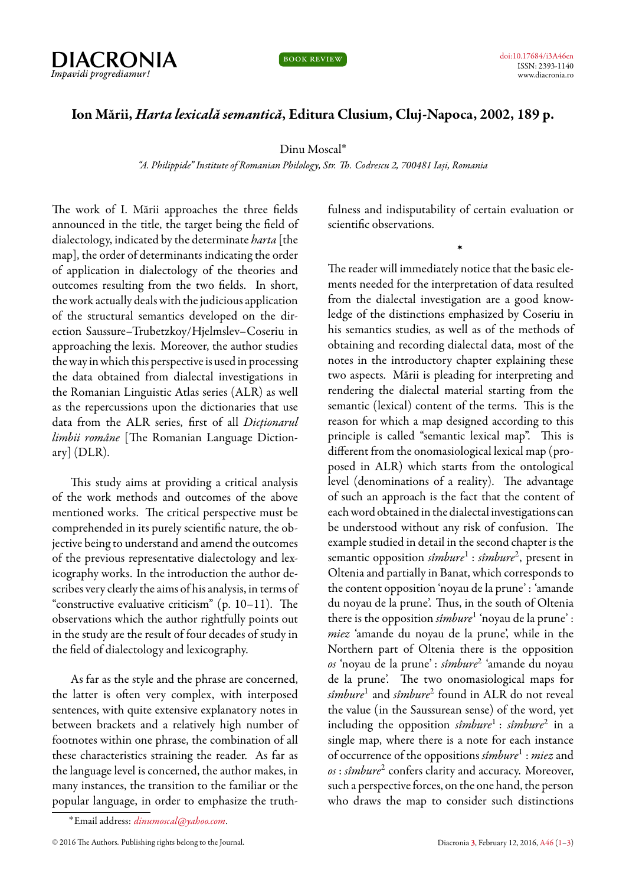

book review

## **Ion Mării,** *Harta lexicală semantică***, Editura Clusium, Cluj-Napoca, 2002, 189 p.**

Dinu Moscal˚

*"A. Philippide" Institute of Romanian Philology, Str. Th. Codrescu 2, 700481 Iași, Romania*

<span id="page-0-0"></span>The work of I. Mării approaches the three fields announced in the title, the target being the field of dialectology, indicated by the determinate *harta* [the map], the order of determinants indicating the order of application in dialectology of the theories and outcomes resulting from the two fields. In short, the work actually deals with the judicious application of the structural semantics developed on the direction Saussure–Trubetzkoy/Hjelmslev–Coseriu in approaching the lexis. Moreover, the author studies the way in which this perspective is used in processing the data obtained from dialectal investigations in the Romanian Linguistic Atlas series (ALR) as well as the repercussions upon the dictionaries that use data from the ALR series, first of all *Dicționarul limbii române* [The Romanian Language Dictionary] (DLR).

This study aims at providing a critical analysis of the work methods and outcomes of the above mentioned works. The critical perspective must be comprehended in its purely scientific nature, the objective being to understand and amend the outcomes of the previous representative dialectology and lexicography works. In the introduction the author describes very clearly the aims of his analysis, in terms of "constructive evaluative criticism" (p. 10–11). The observations which the author rightfully points out in the study are the result of four decades of study in the field of dialectology and lexicography.

As far as the style and the phrase are concerned, the latter is often very complex, with interposed sentences, with quite extensive explanatory notes in between brackets and a relatively high number of footnotes within one phrase, the combination of all these characteristics straining the reader. As far as the language level is concerned, the author makes, in many instances, the transition to the familiar or the popular language, in order to emphasize the truthfulness and indisputability of certain evaluation or scientific observations.

›

The reader will immediately notice that the basic elements needed for the interpretation of data resulted from the dialectal investigation are a good knowledge of the distinctions emphasized by Coseriu in his semantics studies, as well as of the methods of obtaining and recording dialectal data, most of the notes in the introductory chapter explaining these two aspects. Mării is pleading for interpreting and rendering the dialectal material starting from the semantic (lexical) content of the terms. This is the reason for which a map designed according to this principle is called "semantic lexical map". This is different from the onomasiological lexical map (proposed in ALR) which starts from the ontological level (denominations of a reality). The advantage of such an approach is the fact that the content of each word obtained in the dialectal investigations can be understood without any risk of confusion. The example studied in detail in the second chapter is the semantic opposition *sîmbure<sup>1</sup> : sîmbure<sup>2</sup>*, present in Oltenia and partially in Banat, which corresponds to the content opposition 'noyau de la prune' : 'amande du noyau de la prune'. Thus, in the south of Oltenia there is the opposition *sîmbure*<sup>1</sup> 'noyau de la prune' : *miez* 'amande du noyau de la prune', while in the Northern part of Oltenia there is the opposition *os* 'noyau de la prune' : *sîmbure*<sup>2</sup> 'amande du noyau de la prune'. The two onomasiological maps for *sîmbure*<sup>1</sup> and *sîmbure*<sup>2</sup> found in ALR do not reveal the value (in the Saussurean sense) of the word, yet including the opposition *sîmbure*<sup>1</sup> : *sîmbure*<sup>2</sup> in a single map, where there is a note for each instance of occurrence of the oppositions *sîmbure*<sup>1</sup> : *miez* and *os* : *sîmbure*<sup>2</sup> confers clarity and accuracy. Moreover, such a perspective forces, on the one hand, the person who draws the map to consider such distinctions

<sup>˚</sup>Email address: *[dinumoscal@yahoo.com](mailto:dinumoscal@yahoo.com)*.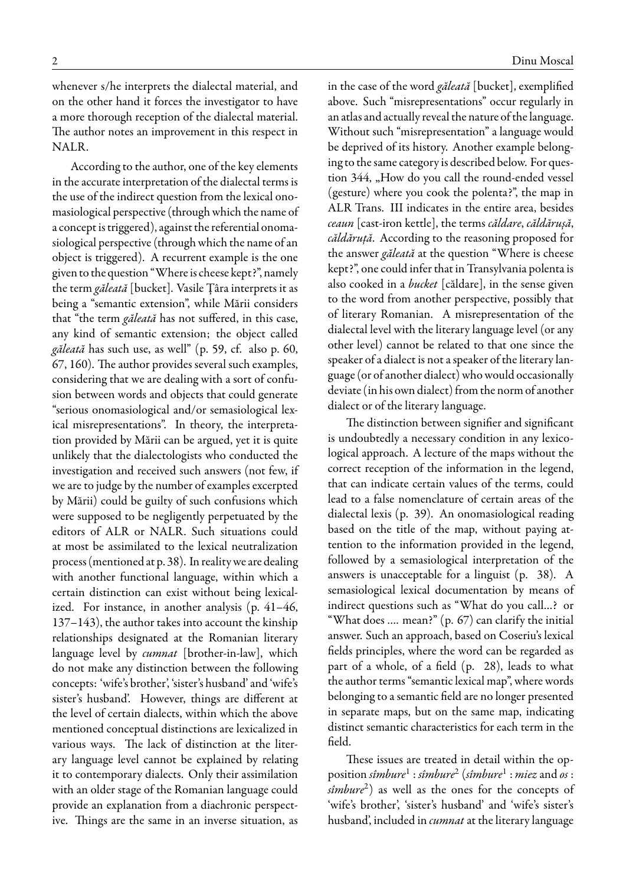whenever s/he interprets the dialectal material, and on the other hand it forces the investigator to have a more thorough reception of the dialectal material. The author notes an improvement in this respect in NALR.

According to the author, one of the key elements in the accurate interpretation of the dialectal terms is the use of the indirect question from the lexical onomasiological perspective (through which the name of a concept is triggered), against the referential onomasiological perspective (through which the name of an object is triggered). A recurrent example is the one given to the question "Where is cheese kept?", namely the term *găleată* [bucket]. Vasile Țâra interprets it as being a "semantic extension", while Mării considers that "the term *găleată* has not suffered, in this case, any kind of semantic extension; the object called *găleată* has such use, as well" (p. 59, cf. also p. 60, 67, 160). The author provides several such examples, considering that we are dealing with a sort of confusion between words and objects that could generate "serious onomasiological and/or semasiological lexical misrepresentations". In theory, the interpretation provided by Mării can be argued, yet it is quite unlikely that the dialectologists who conducted the investigation and received such answers (not few, if we are to judge by the number of examples excerpted by Mării) could be guilty of such confusions which were supposed to be negligently perpetuated by the editors of ALR or NALR. Such situations could at most be assimilated to the lexical neutralization process (mentioned at p. 38). In reality we are dealing with another functional language, within which a certain distinction can exist without being lexicalized. For instance, in another analysis (p. 41–46, 137–143), the author takes into account the kinship relationships designated at the Romanian literary language level by *cumnat* [brother-in-law], which do not make any distinction between the following concepts: 'wife's brother', 'sister's husband' and 'wife's sister's husband'. However, things are different at the level of certain dialects, within which the above mentioned conceptual distinctions are lexicalized in various ways. The lack of distinction at the literary language level cannot be explained by relating it to contemporary dialects. Only their assimilation with an older stage of the Romanian language could provide an explanation from a diachronic perspective. Things are the same in an inverse situation, as

in the case of the word *găleată* [bucket], exemplified above. Such "misrepresentations" occur regularly in an atlas and actually reveal the nature of the language. Without such "misrepresentation" a language would be deprived of its history. Another example belonging to the same category is described below. For question 344, "How do you call the round-ended vessel (gesture) where you cook the polenta?", the map in ALR Trans. III indicates in the entire area, besides *ceaun* [cast-iron kettle], the terms *căldare*, *căldărușă*, *căldăruță*. According to the reasoning proposed for the answer *găleată* at the question "Where is cheese kept?", one could infer that in Transylvania polenta is also cooked in a *bucket* [căldare], in the sense given to the word from another perspective, possibly that of literary Romanian. A misrepresentation of the dialectal level with the literary language level (or any other level) cannot be related to that one since the speaker of a dialect is not a speaker of the literary language (or of another dialect) who would occasionally deviate (in his own dialect) from the norm of another dialect or of the literary language.

The distinction between signifier and significant is undoubtedly a necessary condition in any lexicological approach. A lecture of the maps without the correct reception of the information in the legend, that can indicate certain values of the terms, could lead to a false nomenclature of certain areas of the dialectal lexis (p. 39). An onomasiological reading based on the title of the map, without paying attention to the information provided in the legend, followed by a semasiological interpretation of the answers is unacceptable for a linguist (p. 38). A semasiological lexical documentation by means of indirect questions such as "What do you call…? or "What does …. mean?" (p. 67) can clarify the initial answer. Such an approach, based on Coseriu's lexical fields principles, where the word can be regarded as part of a whole, of a field (p. 28), leads to what the author terms "semantic lexical map", where words belonging to a semantic field are no longer presented in separate maps, but on the same map, indicating distinct semantic characteristics for each term in the field.

These issues are treated in detail within the opposition *sîmbure*<sup>1</sup> : *sîmbure*<sup>2</sup> (*sîmbure*<sup>1</sup> : *miez* and *os* : *sîmbure*<sup>2</sup> ) as well as the ones for the concepts of 'wife's brother', 'sister's husband' and 'wife's sister's husband', included in *cumnat* at the literary language